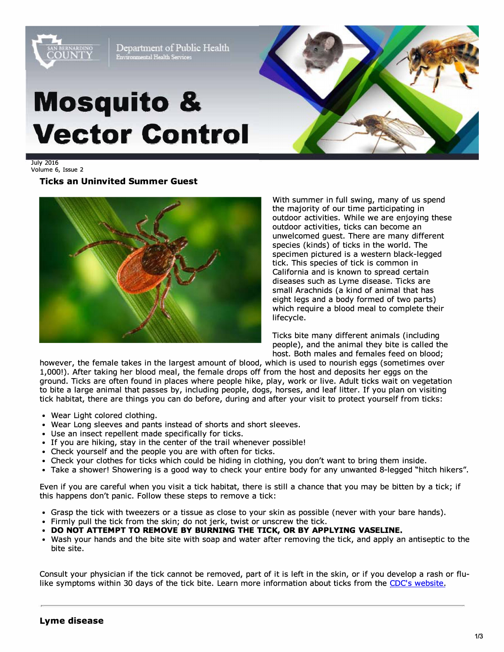

Volume 6, Issue 2

## **Ticks an Uninvited Summer Guest**



With summer in full swing, many of us spend the majority of our time participating in outdoor activities. While we are enjoying these outdoor activities, ticks can become an unwelcomed guest. There are many different species (kinds) of ticks in the world. The specimen pictured is a western black-legged tick. This species of tick is common in California and is known to spread certain diseases such as Lyme disease. Ticks are small Arachnids (a kind of animal that has eight legs and a body formed of two parts) which require a blood meal to complete their lifecycle.

Ticks bite many different animals (including people), and the animal they bite is called the host. Both males and females feed on blood;

however, the female takes in the largest amount of blood, which is used to nourish eggs (sometimes over 1,000!). After taking her blood meal, the female drops off from the host and deposits her eggs on the ground. Ticks are often found in places where people hike, play, work or live. Adult ticks wait on vegetation to bite a large animal that passes by, including people, dogs, horses, and leaf litter. If you plan on visiting tick habitat, there are things you can do before, during and after your visit to protect yourself from ticks:

- Wear Light colored clothing.
- Wear Long sleeves and pants instead of shorts and short sleeves.
- Use an insect repellent made specifically for ticks.
- If you are hiking, stay in the center of the trail whenever possible!
- Check yourself and the people you are with often for ticks.
- Check your clothes for ticks which could be hiding in clothing, you don't want to bring them inside.
- Take a shower! Showering is a good way to check your entire body for any unwanted 8-legged "hitch hikers".

Even if you are careful when you visit a tick habitat, there is still a chance that you may be bitten by a tick; if this happens don't panic. Follow these steps to remove a tick:

- Grasp the tick with tweezers or a tissue as close to your skin as possible (never with your bare hands).
- Firmly pull the tick from the skin; do not jerk, twist or unscrew the tick.
- **• DO NOT ATTEMPT TO REMOVE BY BURNING THE TICK, OR BY APPLYING VASELINE.**
- Wash your hands and the bite site with soap and water after removing the tick, and apply an antiseptic to the bite site.

Consult your physician if the tick cannot be removed, part of it is left in the skin, or if you develop a rash or flulike symptoms within 30 days of the tick bite. Learn more information about ticks from th[e CDC's website.](https://www.cdc.gov/ticks/index.html)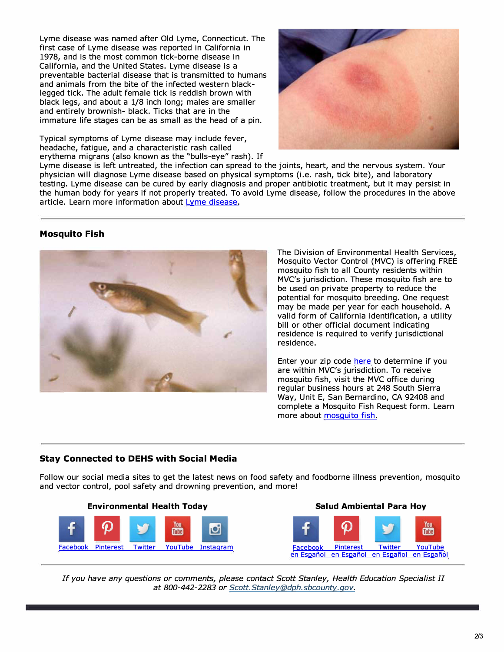Lyme disease was named after Old Lyme, Connecticut. The first case of Lyme disease was reported in California in 1978, and is the most common tick-borne disease in California, and the United States. Lyme disease is a preventable bacterial disease that is transmitted to humans and animals from the bite of the infected western blacklegged tick. The adult female tick is reddish brown with black legs, and about a 1/8 inch long; males are smaller and entirely brownish- black. Ticks that are in the immature life stages can be as small as the head of a pin.

Typical symptoms of Lyme disease may include fever, headache, fatigue, and a characteristic rash called erythema migrans (also known as the "bulls-eye" rash). If

Lyme disease is left untreated, the infection can spread to the joints, heart, and the nervous system. Your physician will diagnose Lyme disease based on physical symptoms (i.e. rash, tick bite), and laboratory testing. Lyme disease can be cured by early diagnosis and proper antibiotic treatment, but it may persist in the human body for years if not properly treated. To avoid Lyme disease, follow the procedures in the above article. Learn more information about [Lyme disease.](http://www.sbcounty.gov/uploads/dph/dehs/depts/vectorcontrol/LymeDisease.pdf)

## **Mosquito Fish**



The Division of Environmental Health Services, Mosquito Vector Control (MVC) is offering FREE mosquito fish to all County residents within MVC's jurisdiction. These mosquito fish are to be used on private property to reduce the potential for mosquito breeding. One request may be made per year for each household. A valid form of California identification, a utility bill or other official document indicating residence is required to verify jurisdictional residence.

Enter your zip code [here t](http://westnile.ca.gov/ziplocator.php)o determine if you are within MVC's jurisdiction. To receive mosquito fish, visit the MVC office during regular business hours at 248 South Sierra Way, Unit E, San Bernardino, CA 92408 and complete a Mosquito Fish Request form. Learn more about [mosquito fish.](http://www.sbcounty.gov/uploads/dph/dehs/depts/vectorcontrol/MosquitoFish.pdf)

## **Stay Connected to DEHS with Social Media**

Follow our social media sites to get the latest news on food safety and foodborne illness prevention, mosquito and vector control, pool safety and drowning prevention, and more!





*If you have any questions or comments, please contact Scott Stanley, Health Education Specialist II at 800-442-2283 or [Scott.Stanley@dph.sbcounty.gov.](mailto:Scott.Stanley@dph.sbcounty.gov)*